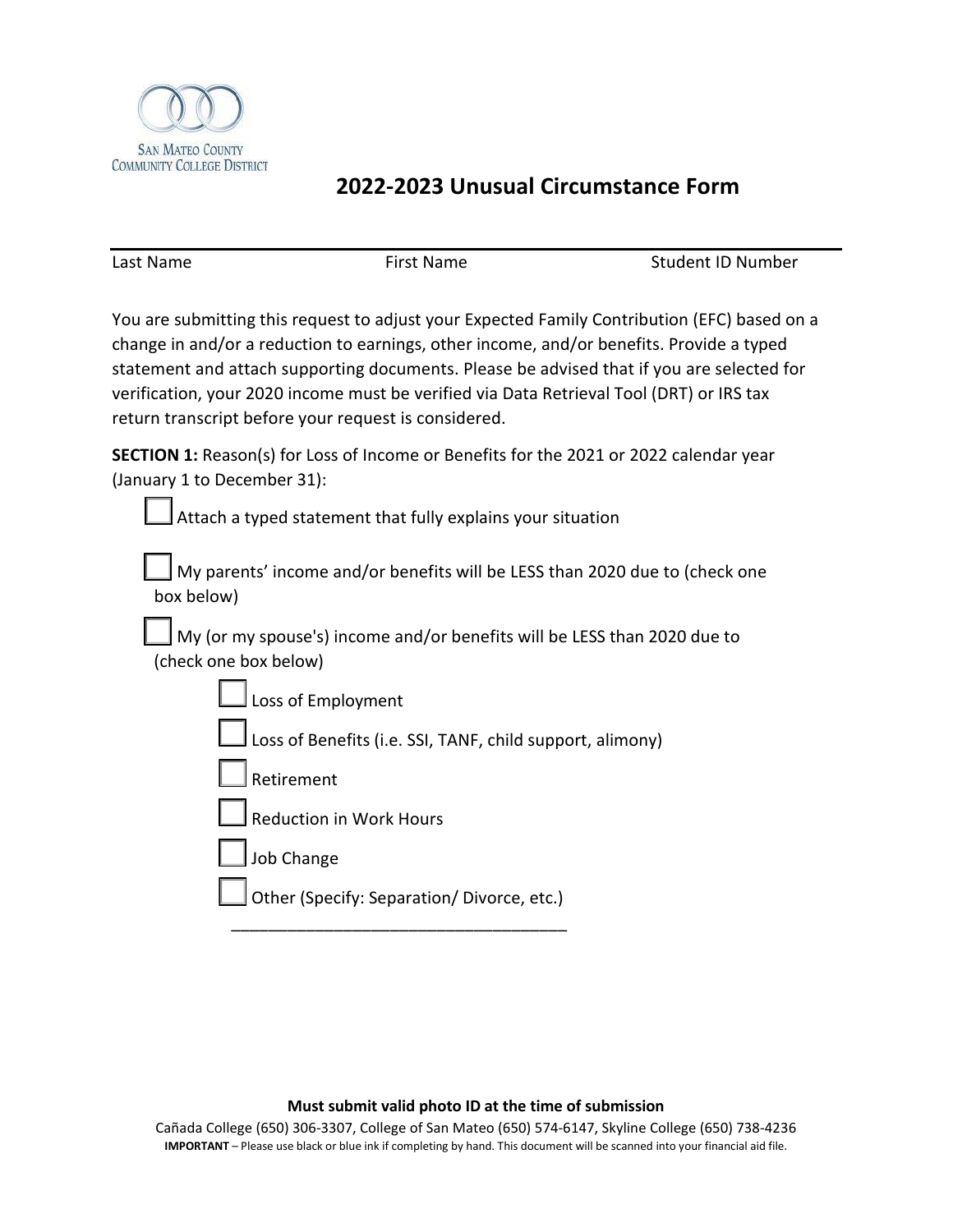

## **2022-2023 Unusual Circumstance Form**

Last Name The Research Control of First Name Student ID Number

You are submitting this request to adjust your Expected Family Contribution (EFC) based on a change in and/or a reduction to earnings, other income, and/or benefits. Provide a typed statement and attach supporting documents. Please be advised that if you are selected for verification, your 2020 income must be verified via Data Retrieval Tool (DRT) or IRS tax return transcript before your request is considered.

**SECTION 1:** Reason(s) for Loss of Income or Benefits for the 2021 or 2022 calendar year (January 1 to December 31):

 $\vert$  Attach a typed statement that fully explains your situation

My parents' income and/or benefits will be LESS than 2020 due to (check one box below)

My (or my spouse's) income and/or benefits will be LESS than 2020 due to (check one box below)

| $\Box$ Loss of Employment |
|---------------------------|
|---------------------------|

Loss of Benefits (i.e. SSI, TANF, child support, alimony)

**Retirement** 

☐ Reduction in Work Hours

Job Change

Other (Specify: Separation/ Divorce, etc.) \_\_\_\_\_\_\_\_\_\_\_\_\_\_\_\_\_\_\_\_\_\_\_\_\_\_\_\_\_\_\_\_\_\_\_\_

## **Must submit valid photo ID at the time of submission**

Cañada College (650) 306-3307, College of San Mateo (650) 574-6147, Skyline College (650) 738-4236 **IMPORTANT** – Please use black or blue ink if completing by hand. This document will be scanned into your financial aid file.